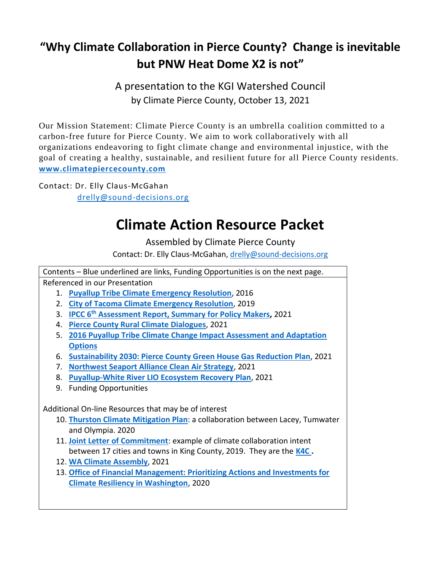## **"Why Climate Collaboration in Pierce County? Change is inevitable but PNW Heat Dome X2 is not"**

A presentation to the KGI Watershed Council by Climate Pierce County, October 13, 2021

Our Mission Statement: Climate Pierce County is an umbrella coalition committed to a carbon-free future for Pierce County. We aim to work collaboratively with all organizations endeavoring to fight climate change and environmental injustice, with the goal of creating a healthy, sustainable, and resilient future for all Pierce County residents. **[www.climatepiercecounty.com](http://www.climatepiercecounty.com/)**

Contact: Dr. Elly Claus-McGahan [drelly@sound-decisions.org](mailto:drelly@sound-decisions.org)

## **Climate Action Resource Packet**

Assembled by Climate Pierce County

Contact: Dr. Elly Claus-McGahan, [drelly@sound-decisions.org](mailto:drelly@sound-decisions.org)

Contents – Blue underlined are links, Funding Opportunities is on the next page. Referenced in our Presentation 1. **[Puyallup Tribe Climate Emergency Resolution](http://news.puyalluptribe-nsn.gov/wp-content/uploads/2019/12/Signed-Resolution_Climate-Emergency.pdf)**, 2016 2. **[City of Tacoma Climate Emergency Resolution](http://cityoftacoma.legistar.com/gateway.aspx?M=F&ID=32ca7ec4-9d75-4685-bf50-7936bae05ed4.pdf)**, 2019 3. **IPCC 6th [Assessment Report, Summary for Policy Makers,](https://www.ipcc.ch/report/ar6/wg1/#SPM)** 2021 4. **[Pierce County Rural Climate Dialogues](https://piercecd.org/604/Rural-Climate-Dialogues)**, 2021 5. **[2016 Puyallup Tribe Climate Change Impact Assessment and Adaptation](https://www.adaptationclearinghouse.org/resources/puyallup-tribe-climate-change-impact-assessment-and-adaptation-options.html)  [Options](https://www.adaptationclearinghouse.org/resources/puyallup-tribe-climate-change-impact-assessment-and-adaptation-options.html)** 6. **[Sustainability 2030: Pierce County Green House Gas Reduction Plan](https://www.piercecountywa.gov/DocumentCenter/View/102689/Sustainability-2030-Pierce-Countys-Greenhouse-Gas-Reduction-Plan)**, 2021 7. **[Northwest Seaport Alliance Clean Air Strategy](https://s3.us-west-2.amazonaws.com/nwseaportalliance.com.if-us-west-2/prod/2021-07/NWSA_NWPCAS_Implementation_Plan_062521.pdf)**, 2021 8. **[Puyallup-White River LIO Ecosystem Recovery Plan](https://www.piercecountywa.gov/DocumentCenter/View/107542/ERP-Final-Draft-Sept-2021)**, 2021 9. Funding Opportunities Additional On-line Resources that may be of interest 10. **[Thurston Climate Mitigation Plan](https://www.trpc.org/DocumentCenter/View/8322/TCMP_BOOK_v2)**: a collaboration between Lacey, Tumwater and Olympia. 2020 11. **[Joint Letter of Commitment](https://your.kingcounty.gov/dnrp/library/dnrp-directors-office/climate/2016-K4C-LetterOfCommitments.pdf)**: example of climate collaboration intent between 17 cities and towns in King County, 2019. They are the **[K4C .](https://kingcounty.gov/services/environment/climate/actions-strategies/partnerships-collaborations/k4c.aspx)** 12. **[WA Climate Assembly](https://www.waclimateassembly.org/)**, 2021 13. **[Office of Financial Management: Prioritizing Actions and Investments for](https://ofm.wa.gov/sites/default/files/public/publications/OFM-Climate-Resiliency-Report-2020_0.pdf)  [Climate Resiliency in Washington](https://ofm.wa.gov/sites/default/files/public/publications/OFM-Climate-Resiliency-Report-2020_0.pdf)**, 2020